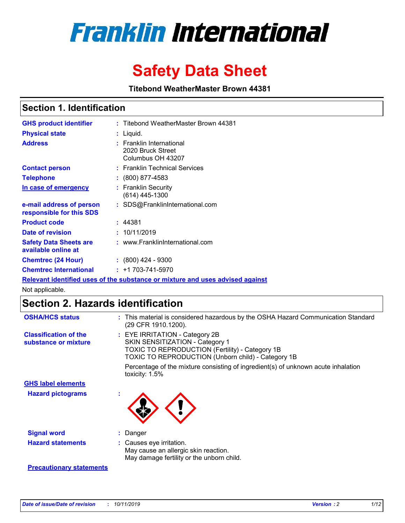

# **Safety Data Sheet**

**Titebond WeatherMaster Brown 44381**

### **Section 1. Identification**

| <b>GHS product identifier</b>                        | : Titebond WeatherMaster Brown 44381                                          |
|------------------------------------------------------|-------------------------------------------------------------------------------|
| <b>Physical state</b>                                | : Liquid.                                                                     |
| <b>Address</b>                                       | <b>Franklin International</b><br>2020 Bruck Street<br>Columbus OH 43207       |
| <b>Contact person</b>                                | : Franklin Technical Services                                                 |
| <b>Telephone</b>                                     | $\div$ (800) 877-4583                                                         |
| In case of emergency                                 | : Franklin Security<br>(614) 445-1300                                         |
| e-mail address of person<br>responsible for this SDS | : SDS@FranklinInternational.com                                               |
| <b>Product code</b>                                  | : 44381                                                                       |
| Date of revision                                     | : 10/11/2019                                                                  |
| <b>Safety Data Sheets are</b><br>available online at | : www.FranklinInternational.com                                               |
| <b>Chemtrec (24 Hour)</b>                            | $: (800)$ 424 - 9300                                                          |
| <b>Chemtrec International</b>                        | $: +1703 - 741 - 5970$                                                        |
|                                                      | Relevant identified uses of the substance or mixture and uses advised against |

Not applicable.

## **Section 2. Hazards identification**

| <b>OSHA/HCS status</b>                               | : This material is considered hazardous by the OSHA Hazard Communication Standard<br>(29 CFR 1910.1200).                                                                                 |
|------------------------------------------------------|------------------------------------------------------------------------------------------------------------------------------------------------------------------------------------------|
| <b>Classification of the</b><br>substance or mixture | : EYE IRRITATION - Category 2B<br>SKIN SENSITIZATION - Category 1<br><b>TOXIC TO REPRODUCTION (Fertility) - Category 1B</b><br><b>TOXIC TO REPRODUCTION (Unborn child) - Category 1B</b> |
|                                                      | Percentage of the mixture consisting of ingredient(s) of unknown acute inhalation<br>toxicity: $1.5\%$                                                                                   |
| <b>GHS label elements</b>                            |                                                                                                                                                                                          |
| <b>Hazard pictograms</b>                             |                                                                                                                                                                                          |
| <b>Signal word</b>                                   | : Danger                                                                                                                                                                                 |
| <b>Hazard statements</b>                             | : Causes eye irritation.<br>May cause an allergic skin reaction.<br>May damage fertility or the unborn child.                                                                            |
| <b>Precautionary statements</b>                      |                                                                                                                                                                                          |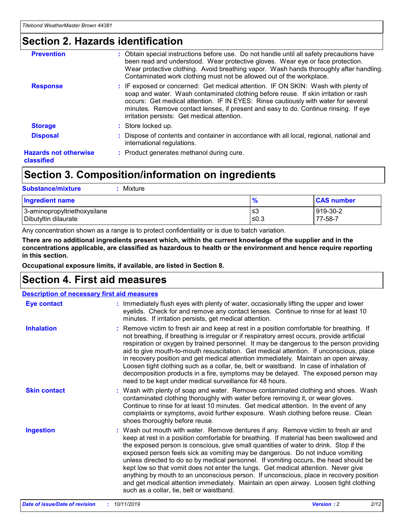## **Section 2. Hazards identification**

| <b>Prevention</b>                          | : Obtain special instructions before use. Do not handle until all safety precautions have<br>been read and understood. Wear protective gloves. Wear eye or face protection.<br>Wear protective clothing. Avoid breathing vapor. Wash hands thoroughly after handling.<br>Contaminated work clothing must not be allowed out of the workplace.                                                        |
|--------------------------------------------|------------------------------------------------------------------------------------------------------------------------------------------------------------------------------------------------------------------------------------------------------------------------------------------------------------------------------------------------------------------------------------------------------|
| <b>Response</b>                            | : IF exposed or concerned: Get medical attention. IF ON SKIN: Wash with plenty of<br>soap and water. Wash contaminated clothing before reuse. If skin irritation or rash<br>occurs: Get medical attention. IF IN EYES: Rinse cautiously with water for several<br>minutes. Remove contact lenses, if present and easy to do. Continue rinsing. If eye<br>irritation persists: Get medical attention. |
| <b>Storage</b>                             | : Store locked up.                                                                                                                                                                                                                                                                                                                                                                                   |
| <b>Disposal</b>                            | : Dispose of contents and container in accordance with all local, regional, national and<br>international regulations.                                                                                                                                                                                                                                                                               |
| <b>Hazards not otherwise</b><br>classified | : Product generates methanol during cure.                                                                                                                                                                                                                                                                                                                                                            |

### **Section 3. Composition/information on ingredients**

| <b>Substance/mixture</b><br>Mixture                  |               |                     |
|------------------------------------------------------|---------------|---------------------|
| <b>Ingredient name</b>                               | $\frac{9}{6}$ | <b>CAS number</b>   |
| 3-aminopropyltriethoxysilane<br>Dibutyltin dilaurate | l≤3<br>≤0.3   | 919-30-2<br>77-58-7 |

Any concentration shown as a range is to protect confidentiality or is due to batch variation.

**There are no additional ingredients present which, within the current knowledge of the supplier and in the concentrations applicable, are classified as hazardous to health or the environment and hence require reporting in this section.**

**Occupational exposure limits, if available, are listed in Section 8.**

### **Section 4. First aid measures**

| <b>Description of necessary first aid measures</b> |                                                                                                                                                                                                                                                                                                                                                                                                                                                                                                                                                                                                                                                                                                                                                                           |  |  |  |
|----------------------------------------------------|---------------------------------------------------------------------------------------------------------------------------------------------------------------------------------------------------------------------------------------------------------------------------------------------------------------------------------------------------------------------------------------------------------------------------------------------------------------------------------------------------------------------------------------------------------------------------------------------------------------------------------------------------------------------------------------------------------------------------------------------------------------------------|--|--|--|
| <b>Eye contact</b>                                 | : Immediately flush eyes with plenty of water, occasionally lifting the upper and lower<br>eyelids. Check for and remove any contact lenses. Continue to rinse for at least 10<br>minutes. If irritation persists, get medical attention.                                                                                                                                                                                                                                                                                                                                                                                                                                                                                                                                 |  |  |  |
| <b>Inhalation</b>                                  | : Remove victim to fresh air and keep at rest in a position comfortable for breathing. If<br>not breathing, if breathing is irregular or if respiratory arrest occurs, provide artificial<br>respiration or oxygen by trained personnel. It may be dangerous to the person providing<br>aid to give mouth-to-mouth resuscitation. Get medical attention. If unconscious, place<br>in recovery position and get medical attention immediately. Maintain an open airway.<br>Loosen tight clothing such as a collar, tie, belt or waistband. In case of inhalation of<br>decomposition products in a fire, symptoms may be delayed. The exposed person may<br>need to be kept under medical surveillance for 48 hours.                                                       |  |  |  |
| <b>Skin contact</b>                                | : Wash with plenty of soap and water. Remove contaminated clothing and shoes. Wash<br>contaminated clothing thoroughly with water before removing it, or wear gloves.<br>Continue to rinse for at least 10 minutes. Get medical attention. In the event of any<br>complaints or symptoms, avoid further exposure. Wash clothing before reuse. Clean<br>shoes thoroughly before reuse.                                                                                                                                                                                                                                                                                                                                                                                     |  |  |  |
| <b>Ingestion</b>                                   | : Wash out mouth with water. Remove dentures if any. Remove victim to fresh air and<br>keep at rest in a position comfortable for breathing. If material has been swallowed and<br>the exposed person is conscious, give small quantities of water to drink. Stop if the<br>exposed person feels sick as vomiting may be dangerous. Do not induce vomiting<br>unless directed to do so by medical personnel. If vomiting occurs, the head should be<br>kept low so that vomit does not enter the lungs. Get medical attention. Never give<br>anything by mouth to an unconscious person. If unconscious, place in recovery position<br>and get medical attention immediately. Maintain an open airway. Loosen tight clothing<br>such as a collar, tie, belt or waistband. |  |  |  |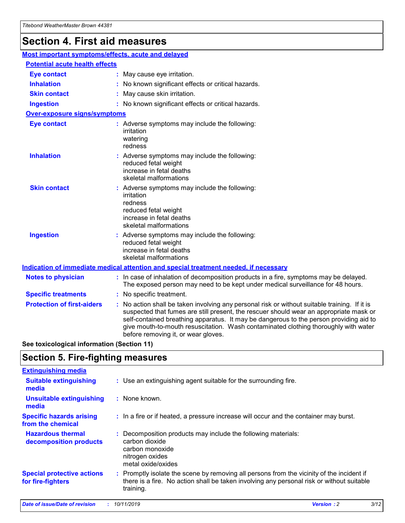## **Section 4. First aid measures**

| Most important symptoms/effects, acute and delayed |  |                                                                                                                                                                                                                                                                                                                                                                                                                 |  |  |
|----------------------------------------------------|--|-----------------------------------------------------------------------------------------------------------------------------------------------------------------------------------------------------------------------------------------------------------------------------------------------------------------------------------------------------------------------------------------------------------------|--|--|
| <b>Potential acute health effects</b>              |  |                                                                                                                                                                                                                                                                                                                                                                                                                 |  |  |
| <b>Eye contact</b>                                 |  | : May cause eye irritation.                                                                                                                                                                                                                                                                                                                                                                                     |  |  |
| <b>Inhalation</b>                                  |  | : No known significant effects or critical hazards.                                                                                                                                                                                                                                                                                                                                                             |  |  |
| <b>Skin contact</b>                                |  | : May cause skin irritation.                                                                                                                                                                                                                                                                                                                                                                                    |  |  |
| <b>Ingestion</b>                                   |  | : No known significant effects or critical hazards.                                                                                                                                                                                                                                                                                                                                                             |  |  |
| Over-exposure signs/symptoms                       |  |                                                                                                                                                                                                                                                                                                                                                                                                                 |  |  |
| <b>Eye contact</b>                                 |  | : Adverse symptoms may include the following:<br>irritation<br>watering<br>redness                                                                                                                                                                                                                                                                                                                              |  |  |
| <b>Inhalation</b>                                  |  | : Adverse symptoms may include the following:<br>reduced fetal weight<br>increase in fetal deaths<br>skeletal malformations                                                                                                                                                                                                                                                                                     |  |  |
| <b>Skin contact</b>                                |  | : Adverse symptoms may include the following:<br>irritation<br>redness<br>reduced fetal weight<br>increase in fetal deaths<br>skeletal malformations                                                                                                                                                                                                                                                            |  |  |
| <b>Ingestion</b>                                   |  | : Adverse symptoms may include the following:<br>reduced fetal weight<br>increase in fetal deaths<br>skeletal malformations                                                                                                                                                                                                                                                                                     |  |  |
|                                                    |  | <b>Indication of immediate medical attention and special treatment needed, if necessary</b>                                                                                                                                                                                                                                                                                                                     |  |  |
| <b>Notes to physician</b>                          |  | : In case of inhalation of decomposition products in a fire, symptoms may be delayed.<br>The exposed person may need to be kept under medical surveillance for 48 hours.                                                                                                                                                                                                                                        |  |  |
| <b>Specific treatments</b>                         |  | : No specific treatment.                                                                                                                                                                                                                                                                                                                                                                                        |  |  |
| <b>Protection of first-aiders</b>                  |  | : No action shall be taken involving any personal risk or without suitable training. If it is<br>suspected that fumes are still present, the rescuer should wear an appropriate mask or<br>self-contained breathing apparatus. It may be dangerous to the person providing aid to<br>give mouth-to-mouth resuscitation. Wash contaminated clothing thoroughly with water<br>before removing it, or wear gloves. |  |  |

**See toxicological information (Section 11)**

### **Section 5. Fire-fighting measures**

| <b>Extinguishing media</b>                             |                                                                                                                                                                                                     |
|--------------------------------------------------------|-----------------------------------------------------------------------------------------------------------------------------------------------------------------------------------------------------|
| <b>Suitable extinguishing</b><br>media                 | : Use an extinguishing agent suitable for the surrounding fire.                                                                                                                                     |
| <b>Unsuitable extinguishing</b><br>media               | : None known.                                                                                                                                                                                       |
| <b>Specific hazards arising</b><br>from the chemical   | : In a fire or if heated, a pressure increase will occur and the container may burst.                                                                                                               |
| <b>Hazardous thermal</b><br>decomposition products     | : Decomposition products may include the following materials:<br>carbon dioxide<br>carbon monoxide<br>nitrogen oxides<br>metal oxide/oxides                                                         |
| <b>Special protective actions</b><br>for fire-fighters | : Promptly isolate the scene by removing all persons from the vicinity of the incident if<br>there is a fire. No action shall be taken involving any personal risk or without suitable<br>training. |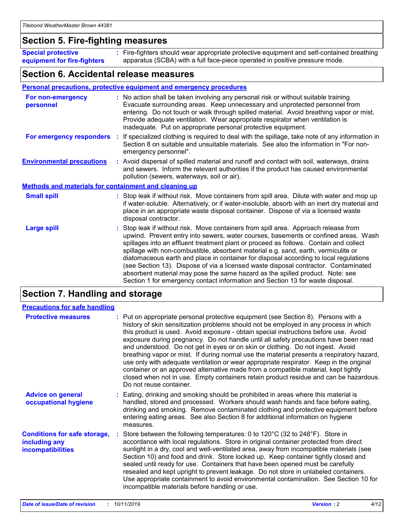### **Section 5. Fire-fighting measures**

**Special protective equipment for fire-fighters** Fire-fighters should wear appropriate protective equipment and self-contained breathing **:** apparatus (SCBA) with a full face-piece operated in positive pressure mode.

### **Section 6. Accidental release measures**

#### **Personal precautions, protective equipment and emergency procedures**

| For non-emergency<br>personnel                               | : No action shall be taken involving any personal risk or without suitable training.<br>Evacuate surrounding areas. Keep unnecessary and unprotected personnel from<br>entering. Do not touch or walk through spilled material. Avoid breathing vapor or mist.<br>Provide adequate ventilation. Wear appropriate respirator when ventilation is<br>inadequate. Put on appropriate personal protective equipment.                                                                                                                                                                                                                                                                                             |
|--------------------------------------------------------------|--------------------------------------------------------------------------------------------------------------------------------------------------------------------------------------------------------------------------------------------------------------------------------------------------------------------------------------------------------------------------------------------------------------------------------------------------------------------------------------------------------------------------------------------------------------------------------------------------------------------------------------------------------------------------------------------------------------|
|                                                              | For emergency responders : If specialized clothing is required to deal with the spillage, take note of any information in<br>Section 8 on suitable and unsuitable materials. See also the information in "For non-<br>emergency personnel".                                                                                                                                                                                                                                                                                                                                                                                                                                                                  |
| <b>Environmental precautions</b>                             | : Avoid dispersal of spilled material and runoff and contact with soil, waterways, drains<br>and sewers. Inform the relevant authorities if the product has caused environmental<br>pollution (sewers, waterways, soil or air).                                                                                                                                                                                                                                                                                                                                                                                                                                                                              |
| <b>Methods and materials for containment and cleaning up</b> |                                                                                                                                                                                                                                                                                                                                                                                                                                                                                                                                                                                                                                                                                                              |
| <b>Small spill</b>                                           | : Stop leak if without risk. Move containers from spill area. Dilute with water and mop up<br>if water-soluble. Alternatively, or if water-insoluble, absorb with an inert dry material and<br>place in an appropriate waste disposal container. Dispose of via a licensed waste<br>disposal contractor.                                                                                                                                                                                                                                                                                                                                                                                                     |
| <b>Large spill</b>                                           | : Stop leak if without risk. Move containers from spill area. Approach release from<br>upwind. Prevent entry into sewers, water courses, basements or confined areas. Wash<br>spillages into an effluent treatment plant or proceed as follows. Contain and collect<br>spillage with non-combustible, absorbent material e.g. sand, earth, vermiculite or<br>diatomaceous earth and place in container for disposal according to local regulations<br>(see Section 13). Dispose of via a licensed waste disposal contractor. Contaminated<br>absorbent material may pose the same hazard as the spilled product. Note: see<br>Section 1 for emergency contact information and Section 13 for waste disposal. |

### **Section 7. Handling and storage**

| <b>Precautions for safe handling</b>                                             |                                                                                                                                                                                                                                                                                                                                                                                                                                                                                                                                                                                                                                                                                                                                                                                                                                                  |
|----------------------------------------------------------------------------------|--------------------------------------------------------------------------------------------------------------------------------------------------------------------------------------------------------------------------------------------------------------------------------------------------------------------------------------------------------------------------------------------------------------------------------------------------------------------------------------------------------------------------------------------------------------------------------------------------------------------------------------------------------------------------------------------------------------------------------------------------------------------------------------------------------------------------------------------------|
| <b>Protective measures</b>                                                       | : Put on appropriate personal protective equipment (see Section 8). Persons with a<br>history of skin sensitization problems should not be employed in any process in which<br>this product is used. Avoid exposure - obtain special instructions before use. Avoid<br>exposure during pregnancy. Do not handle until all safety precautions have been read<br>and understood. Do not get in eyes or on skin or clothing. Do not ingest. Avoid<br>breathing vapor or mist. If during normal use the material presents a respiratory hazard,<br>use only with adequate ventilation or wear appropriate respirator. Keep in the original<br>container or an approved alternative made from a compatible material, kept tightly<br>closed when not in use. Empty containers retain product residue and can be hazardous.<br>Do not reuse container. |
| <b>Advice on general</b><br>occupational hygiene                                 | : Eating, drinking and smoking should be prohibited in areas where this material is<br>handled, stored and processed. Workers should wash hands and face before eating,<br>drinking and smoking. Remove contaminated clothing and protective equipment before<br>entering eating areas. See also Section 8 for additional information on hygiene<br>measures.                                                                                                                                                                                                                                                                                                                                                                                                                                                                                    |
| <b>Conditions for safe storage,</b><br>including any<br><b>incompatibilities</b> | : Store between the following temperatures: 0 to 120 $\degree$ C (32 to 248 $\degree$ F). Store in<br>accordance with local regulations. Store in original container protected from direct<br>sunlight in a dry, cool and well-ventilated area, away from incompatible materials (see<br>Section 10) and food and drink. Store locked up. Keep container tightly closed and<br>sealed until ready for use. Containers that have been opened must be carefully<br>resealed and kept upright to prevent leakage. Do not store in unlabeled containers.<br>Use appropriate containment to avoid environmental contamination. See Section 10 for<br>incompatible materials before handling or use.                                                                                                                                                   |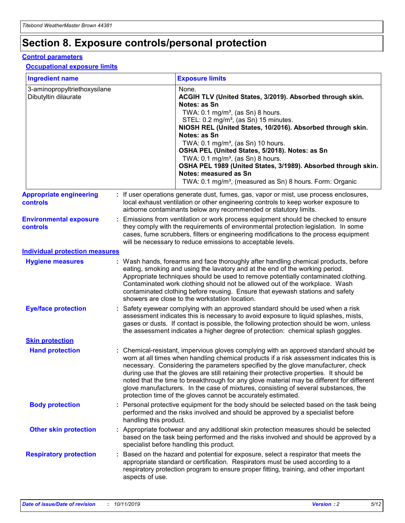## **Section 8. Exposure controls/personal protection**

#### **Control parameters**

#### **Occupational exposure limits**

| <b>Ingredient name</b>                               |                        | <b>Exposure limits</b>                                                                                                                                                                                                                                                                                                                                                                                                                                                                                                                                                                                                 |
|------------------------------------------------------|------------------------|------------------------------------------------------------------------------------------------------------------------------------------------------------------------------------------------------------------------------------------------------------------------------------------------------------------------------------------------------------------------------------------------------------------------------------------------------------------------------------------------------------------------------------------------------------------------------------------------------------------------|
| 3-aminopropyltriethoxysilane<br>Dibutyltin dilaurate |                        | None.<br>ACGIH TLV (United States, 3/2019). Absorbed through skin.<br>Notes: as Sn<br>TWA: 0.1 mg/m <sup>3</sup> , (as Sn) 8 hours.<br>STEL: 0.2 mg/m <sup>3</sup> , (as Sn) 15 minutes.<br>NIOSH REL (United States, 10/2016). Absorbed through skin.<br>Notes: as Sn<br>TWA: 0.1 mg/m <sup>3</sup> , (as Sn) 10 hours.<br>OSHA PEL (United States, 5/2018). Notes: as Sn<br>TWA: $0.1 \text{ mg/m}^3$ , (as Sn) 8 hours.<br>OSHA PEL 1989 (United States, 3/1989). Absorbed through skin.<br>Notes: measured as Sn<br>TWA: 0.1 mg/m <sup>3</sup> , (measured as Sn) 8 hours. Form: Organic                           |
| <b>Appropriate engineering</b><br><b>controls</b>    |                        | : If user operations generate dust, fumes, gas, vapor or mist, use process enclosures,<br>local exhaust ventilation or other engineering controls to keep worker exposure to<br>airborne contaminants below any recommended or statutory limits.                                                                                                                                                                                                                                                                                                                                                                       |
| <b>Environmental exposure</b><br><b>controls</b>     |                        | Emissions from ventilation or work process equipment should be checked to ensure<br>they comply with the requirements of environmental protection legislation. In some<br>cases, fume scrubbers, filters or engineering modifications to the process equipment<br>will be necessary to reduce emissions to acceptable levels.                                                                                                                                                                                                                                                                                          |
| <b>Individual protection measures</b>                |                        |                                                                                                                                                                                                                                                                                                                                                                                                                                                                                                                                                                                                                        |
| <b>Hygiene measures</b>                              |                        | : Wash hands, forearms and face thoroughly after handling chemical products, before<br>eating, smoking and using the lavatory and at the end of the working period.<br>Appropriate techniques should be used to remove potentially contaminated clothing.<br>Contaminated work clothing should not be allowed out of the workplace. Wash<br>contaminated clothing before reusing. Ensure that eyewash stations and safety<br>showers are close to the workstation location.                                                                                                                                            |
| <b>Eye/face protection</b>                           |                        | : Safety eyewear complying with an approved standard should be used when a risk<br>assessment indicates this is necessary to avoid exposure to liquid splashes, mists,<br>gases or dusts. If contact is possible, the following protection should be worn, unless<br>the assessment indicates a higher degree of protection: chemical splash goggles.                                                                                                                                                                                                                                                                  |
| <b>Skin protection</b>                               |                        |                                                                                                                                                                                                                                                                                                                                                                                                                                                                                                                                                                                                                        |
| <b>Hand protection</b>                               |                        | : Chemical-resistant, impervious gloves complying with an approved standard should be<br>worn at all times when handling chemical products if a risk assessment indicates this is<br>necessary. Considering the parameters specified by the glove manufacturer, check<br>during use that the gloves are still retaining their protective properties. It should be<br>noted that the time to breakthrough for any glove material may be different for different<br>glove manufacturers. In the case of mixtures, consisting of several substances, the<br>protection time of the gloves cannot be accurately estimated. |
| <b>Body protection</b>                               | handling this product. | : Personal protective equipment for the body should be selected based on the task being<br>performed and the risks involved and should be approved by a specialist before                                                                                                                                                                                                                                                                                                                                                                                                                                              |
| <b>Other skin protection</b>                         |                        | : Appropriate footwear and any additional skin protection measures should be selected<br>based on the task being performed and the risks involved and should be approved by a<br>specialist before handling this product.                                                                                                                                                                                                                                                                                                                                                                                              |
| <b>Respiratory protection</b>                        | aspects of use.        | : Based on the hazard and potential for exposure, select a respirator that meets the<br>appropriate standard or certification. Respirators must be used according to a<br>respiratory protection program to ensure proper fitting, training, and other important                                                                                                                                                                                                                                                                                                                                                       |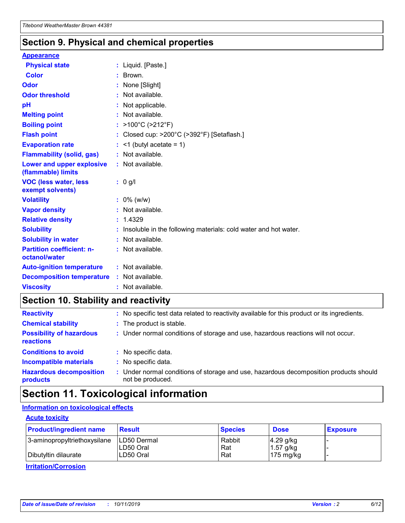### **Section 9. Physical and chemical properties**

#### **Appearance**

| <b>Physical state</b>                             | : Liquid. [Paste.]                                              |
|---------------------------------------------------|-----------------------------------------------------------------|
| Color                                             | $\therefore$ Brown.                                             |
| Odor                                              | : None [Slight]                                                 |
| <b>Odor threshold</b>                             | $:$ Not available.                                              |
| рH                                                | : Not applicable.                                               |
| <b>Melting point</b>                              | : Not available.                                                |
| <b>Boiling point</b>                              | : >100°C (>212°F)                                               |
| <b>Flash point</b>                                | : Closed cup: $>200^{\circ}$ C ( $>392^{\circ}$ F) [Setaflash.] |
| <b>Evaporation rate</b>                           | $:$ <1 (butyl acetate = 1)                                      |
| <b>Flammability (solid, gas)</b>                  | : Not available.                                                |
| Lower and upper explosive<br>(flammable) limits   | : Not available.                                                |
| <b>VOC (less water, less</b><br>exempt solvents)  | : 0 g/l                                                         |
| <b>Volatility</b>                                 | $: 0\%$ (w/w)                                                   |
| <b>Vapor density</b>                              | : Not available.                                                |
| <b>Relative density</b>                           | : 1.4329                                                        |
| <b>Solubility</b>                                 | Insoluble in the following materials: cold water and hot water. |
| <b>Solubility in water</b>                        | : Not available.                                                |
| <b>Partition coefficient: n-</b><br>octanol/water | $:$ Not available.                                              |
| <b>Auto-ignition temperature</b>                  | : Not available.                                                |
|                                                   |                                                                 |
| <b>Decomposition temperature</b>                  | : Not available.                                                |

### **Section 10. Stability and reactivity**

| <b>Reactivity</b>                            | : No specific test data related to reactivity available for this product or its ingredients.            |
|----------------------------------------------|---------------------------------------------------------------------------------------------------------|
| <b>Chemical stability</b>                    | : The product is stable.                                                                                |
| <b>Possibility of hazardous</b><br>reactions | : Under normal conditions of storage and use, hazardous reactions will not occur.                       |
| <b>Conditions to avoid</b>                   | : No specific data.                                                                                     |
| <b>Incompatible materials</b>                | : No specific data.                                                                                     |
| <b>Hazardous decomposition</b><br>products   | Under normal conditions of storage and use, hazardous decomposition products should<br>not be produced. |

### **Section 11. Toxicological information**

### **Information on toxicological effects**

#### **Acute toxicity**

| <b>Product/ingredient name</b> | <b>Result</b>           | <b>Species</b> | <b>Dose</b>                | <b>Exposure</b> |
|--------------------------------|-------------------------|----------------|----------------------------|-----------------|
| 3-aminopropyltriethoxysilane   | <b>ILD50 Dermal</b>     | Rabbit         | 4.29 g/kg                  |                 |
| Dibutyltin dilaurate           | ILD50 Oral<br>LD50 Oral | Rat<br>Rat     | $1.57$ g/kg<br>175 $mg/kg$ |                 |
|                                |                         |                |                            |                 |

**Irritation/Corrosion**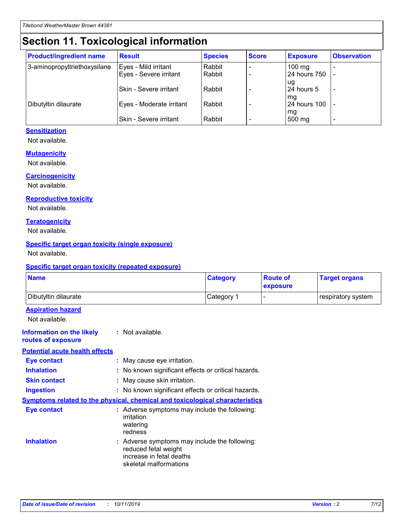## **Section 11. Toxicological information**

| <b>Product/ingredient name</b> | <b>Result</b>            | <b>Species</b> | <b>Score</b> | <b>Exposure</b>     | <b>Observation</b> |
|--------------------------------|--------------------------|----------------|--------------|---------------------|--------------------|
| 3-aminopropyltriethoxysilane   | Eyes - Mild irritant     | Rabbit         |              | $100 \text{ mg}$    |                    |
|                                | Eyes - Severe irritant   | Rabbit         |              | 24 hours 750        |                    |
|                                |                          |                |              | ug                  |                    |
|                                | Skin - Severe irritant   | Rabbit         |              | 24 hours 5          |                    |
|                                |                          |                |              | mq                  |                    |
| Dibutyltin dilaurate           | Eyes - Moderate irritant | Rabbit         |              | <b>24 hours 100</b> |                    |
|                                | Skin - Severe irritant   | Rabbit         |              | mg<br>500 mg        |                    |
|                                |                          |                |              |                     |                    |

#### **Sensitization**

Not available.

#### **Mutagenicity**

Not available.

#### **Carcinogenicity**

Not available.

#### **Reproductive toxicity**

Not available.

#### **Teratogenicity**

Not available.

#### **Specific target organ toxicity (single exposure)**

Not available.

#### **Specific target organ toxicity (repeated exposure)**

| <b>Name</b>                                                                         |                                                                            | <b>Category</b>                                     | <b>Route of</b><br>exposure | <b>Target organs</b> |
|-------------------------------------------------------------------------------------|----------------------------------------------------------------------------|-----------------------------------------------------|-----------------------------|----------------------|
| Dibutyltin dilaurate                                                                |                                                                            | Category 1                                          |                             | respiratory system   |
| <b>Aspiration hazard</b><br>Not available.                                          |                                                                            |                                                     |                             |                      |
| <b>Information on the likely</b><br>routes of exposure                              | : Not available.                                                           |                                                     |                             |                      |
| <b>Potential acute health effects</b>                                               |                                                                            |                                                     |                             |                      |
| <b>Eye contact</b>                                                                  | : May cause eye irritation.                                                |                                                     |                             |                      |
| <b>Inhalation</b>                                                                   |                                                                            | : No known significant effects or critical hazards. |                             |                      |
| <b>Skin contact</b>                                                                 | : May cause skin irritation.                                               |                                                     |                             |                      |
| <b>Ingestion</b>                                                                    |                                                                            | : No known significant effects or critical hazards. |                             |                      |
| <b>Symptoms related to the physical, chemical and toxicological characteristics</b> |                                                                            |                                                     |                             |                      |
| <b>Eye contact</b>                                                                  | irritation<br>watering<br>redness                                          | : Adverse symptoms may include the following:       |                             |                      |
| <b>Inhalation</b>                                                                   | reduced fetal weight<br>increase in fetal deaths<br>skeletal malformations | : Adverse symptoms may include the following:       |                             |                      |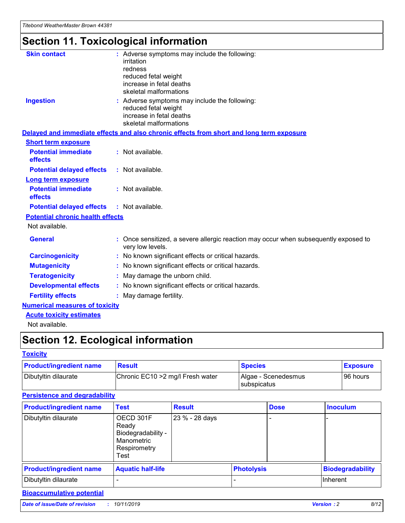# **Section 11. Toxicological information**

| <b>Skin contact</b>                     | : Adverse symptoms may include the following:<br>irritation<br>redness<br>reduced fetal weight<br>increase in fetal deaths<br>skeletal malformations |
|-----------------------------------------|------------------------------------------------------------------------------------------------------------------------------------------------------|
| <b>Ingestion</b>                        | : Adverse symptoms may include the following:<br>reduced fetal weight<br>increase in fetal deaths<br>skeletal malformations                          |
|                                         | Delayed and immediate effects and also chronic effects from short and long term exposure                                                             |
| <b>Short term exposure</b>              |                                                                                                                                                      |
| <b>Potential immediate</b><br>effects   | : Not available.                                                                                                                                     |
| <b>Potential delayed effects</b>        | : Not available.                                                                                                                                     |
| <b>Long term exposure</b>               |                                                                                                                                                      |
| <b>Potential immediate</b><br>effects   | : Not available.                                                                                                                                     |
| <b>Potential delayed effects</b>        | : Not available.                                                                                                                                     |
| <b>Potential chronic health effects</b> |                                                                                                                                                      |
| Not available.                          |                                                                                                                                                      |
| <b>General</b>                          | : Once sensitized, a severe allergic reaction may occur when subsequently exposed to<br>very low levels.                                             |
| <b>Carcinogenicity</b>                  | : No known significant effects or critical hazards.                                                                                                  |
| <b>Mutagenicity</b>                     | No known significant effects or critical hazards.                                                                                                    |
| <b>Teratogenicity</b>                   | May damage the unborn child.                                                                                                                         |
| <b>Developmental effects</b>            | No known significant effects or critical hazards.                                                                                                    |
| <b>Fertility effects</b>                | : May damage fertility.                                                                                                                              |
| <b>Numerical measures of toxicity</b>   |                                                                                                                                                      |
| <b>Acute toxicity estimates</b>         |                                                                                                                                                      |
|                                         |                                                                                                                                                      |

Not available.

## **Section 12. Ecological information**

#### **Toxicity**

| <b>Product/ingredient name</b> | <b>Result</b>                     | <b>Species</b>                       | <b>Exposure</b> |
|--------------------------------|-----------------------------------|--------------------------------------|-----------------|
| Dibutyltin dilaurate           | Chronic EC10 > 2 mg/l Fresh water | Algae - Scenedesmus<br>I subspicatus | l 96 hours i    |

### **Persistence and degradability**

| <b>Product/ingredient name</b> | <b>Test</b>                                                                    | <b>Result</b>  |                   | <b>Dose</b> | <b>Inoculum</b>         |
|--------------------------------|--------------------------------------------------------------------------------|----------------|-------------------|-------------|-------------------------|
| Dibutyltin dilaurate           | OECD 301F<br>Ready<br>Biodegradability -<br>Manometric<br>Respirometry<br>Test | 23 % - 28 days |                   |             |                         |
| <b>Product/ingredient name</b> | <b>Aquatic half-life</b>                                                       |                | <b>Photolysis</b> |             | <b>Biodegradability</b> |
| Dibutyltin dilaurate           |                                                                                |                |                   |             | Inherent                |

### **Bioaccumulative potential**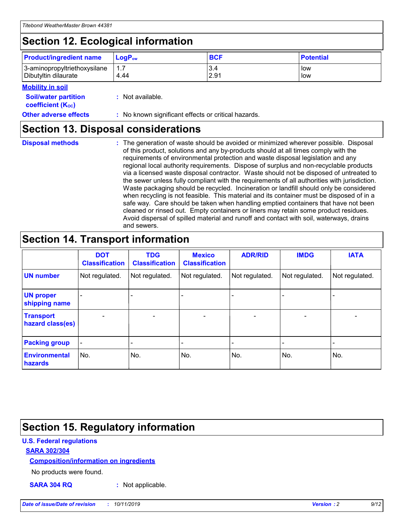## **Section 12. Ecological information**

| <b>Product/ingredient name</b> | $LoaPow$ | <b>BCF</b> | <b>Potential</b> |
|--------------------------------|----------|------------|------------------|
| 3-aminopropyltriethoxysilane   | 1.7      | 3.4        | low              |
| Dibutyltin dilaurate           | 4.44     | 2.91       | low              |

#### **Mobility in soil**

| <b>Soil/water partition</b><br>coefficient (K <sub>oc</sub> ) | : Not available.                                    |
|---------------------------------------------------------------|-----------------------------------------------------|
| <b>Other adverse effects</b>                                  | : No known significant effects or critical hazards. |

### **Section 13. Disposal considerations**

|  | <b>Disposal methods</b> |
|--|-------------------------|
|  |                         |

**Disposal methods** : The generation of waste should be avoided or minimized wherever possible. Disposal of this product, solutions and any by-products should at all times comply with the requirements of environmental protection and waste disposal legislation and any regional local authority requirements. Dispose of surplus and non-recyclable products via a licensed waste disposal contractor. Waste should not be disposed of untreated to the sewer unless fully compliant with the requirements of all authorities with jurisdiction. Waste packaging should be recycled. Incineration or landfill should only be considered when recycling is not feasible. This material and its container must be disposed of in a safe way. Care should be taken when handling emptied containers that have not been cleaned or rinsed out. Empty containers or liners may retain some product residues. Avoid dispersal of spilled material and runoff and contact with soil, waterways, drains and sewers.

## **Section 14. Transport information**

|                                      | <b>DOT</b><br><b>Classification</b> | <b>TDG</b><br><b>Classification</b> | <b>Mexico</b><br><b>Classification</b> | <b>ADR/RID</b>           | <b>IMDG</b>              | <b>IATA</b>    |
|--------------------------------------|-------------------------------------|-------------------------------------|----------------------------------------|--------------------------|--------------------------|----------------|
| <b>UN number</b>                     | Not regulated.                      | Not regulated.                      | Not regulated.                         | Not regulated.           | Not regulated.           | Not regulated. |
| <b>UN proper</b><br>shipping name    |                                     |                                     |                                        |                          |                          |                |
| <b>Transport</b><br>hazard class(es) | $\qquad \qquad \blacksquare$        | $\qquad \qquad \blacksquare$        | $\overline{\phantom{a}}$               | $\overline{\phantom{a}}$ | $\overline{\phantom{a}}$ | $\blacksquare$ |
| <b>Packing group</b>                 | $\overline{\phantom{a}}$            |                                     |                                        |                          | $\overline{\phantom{0}}$ |                |
| <b>Environmental</b><br>hazards      | No.                                 | No.                                 | No.                                    | No.                      | No.                      | No.            |

## **Section 15. Regulatory information**

#### **U.S. Federal regulations**

#### **SARA 302/304**

#### **Composition/information on ingredients**

No products were found.

**SARA 304 RQ :** Not applicable.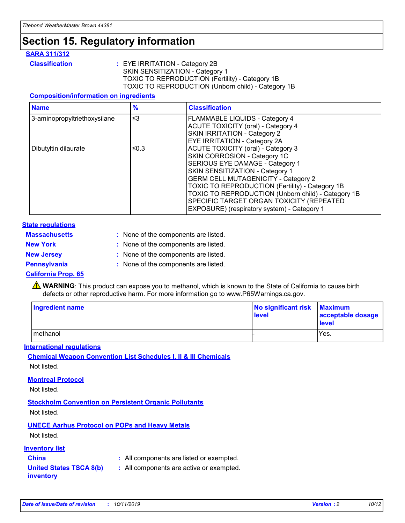## **Section 15. Regulatory information**

#### **SARA 311/312**

**Classification :** EYE IRRITATION - Category 2B SKIN SENSITIZATION - Category 1 TOXIC TO REPRODUCTION (Fertility) - Category 1B TOXIC TO REPRODUCTION (Unborn child) - Category 1B

#### **Composition/information on ingredients**

| <b>Name</b>                  | $\frac{9}{6}$ | <b>Classification</b>                                                                                            |
|------------------------------|---------------|------------------------------------------------------------------------------------------------------------------|
| 3-aminopropyltriethoxysilane | $\leq$ 3      | <b>FLAMMABLE LIQUIDS - Category 4</b><br><b>ACUTE TOXICITY (oral) - Category 4</b>                               |
|                              |               | SKIN IRRITATION - Category 2<br><b>EYE IRRITATION - Category 2A</b>                                              |
| Dibutyltin dilaurate         | ≤0.3          | ACUTE TOXICITY (oral) - Category 3<br>SKIN CORROSION - Category 1C                                               |
|                              |               | SERIOUS EYE DAMAGE - Category 1<br>SKIN SENSITIZATION - Category 1<br><b>GERM CELL MUTAGENICITY - Category 2</b> |
|                              |               | TOXIC TO REPRODUCTION (Fertility) - Category 1B<br>TOXIC TO REPRODUCTION (Unborn child) - Category 1B            |
|                              |               | SPECIFIC TARGET ORGAN TOXICITY (REPEATED<br>EXPOSURE) (respiratory system) - Category 1                          |

#### **State regulations**

| <b>Massachusetts</b> | : None of the components are listed. |
|----------------------|--------------------------------------|
| <b>New York</b>      | : None of the components are listed. |
| <b>New Jersey</b>    | : None of the components are listed. |
| Pennsylvania         | : None of the components are listed. |

#### **California Prop. 65**

**A** WARNING: This product can expose you to methanol, which is known to the State of California to cause birth defects or other reproductive harm. For more information go to www.P65Warnings.ca.gov.

| <b>Ingredient name</b> | No significant risk Maximum<br>level | acceptable dosage<br>level |
|------------------------|--------------------------------------|----------------------------|
| methanol               |                                      | Yes.                       |

#### **International regulations**

**Chemical Weapon Convention List Schedules I, II & III Chemicals** Not listed.

#### **Montreal Protocol**

Not listed.

**Stockholm Convention on Persistent Organic Pollutants**

Not listed.

### **UNECE Aarhus Protocol on POPs and Heavy Metals**

Not listed.

#### **Inventory list**

### **China :** All components are listed or exempted.

**United States TSCA 8(b) inventory :** All components are active or exempted.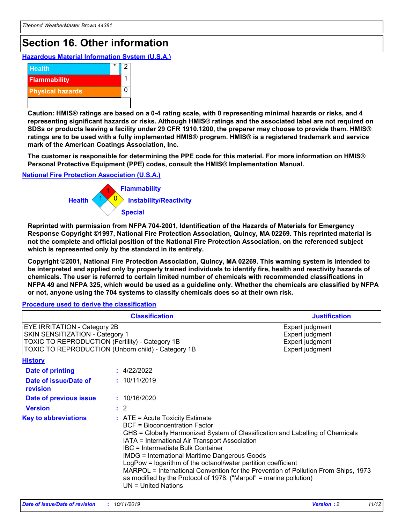## **Section 16. Other information**

**Hazardous Material Information System (U.S.A.)**



**Caution: HMIS® ratings are based on a 0-4 rating scale, with 0 representing minimal hazards or risks, and 4 representing significant hazards or risks. Although HMIS® ratings and the associated label are not required on SDSs or products leaving a facility under 29 CFR 1910.1200, the preparer may choose to provide them. HMIS® ratings are to be used with a fully implemented HMIS® program. HMIS® is a registered trademark and service mark of the American Coatings Association, Inc.**

**The customer is responsible for determining the PPE code for this material. For more information on HMIS® Personal Protective Equipment (PPE) codes, consult the HMIS® Implementation Manual.**

#### **National Fire Protection Association (U.S.A.)**



**Reprinted with permission from NFPA 704-2001, Identification of the Hazards of Materials for Emergency Response Copyright ©1997, National Fire Protection Association, Quincy, MA 02269. This reprinted material is not the complete and official position of the National Fire Protection Association, on the referenced subject which is represented only by the standard in its entirety.**

**Copyright ©2001, National Fire Protection Association, Quincy, MA 02269. This warning system is intended to be interpreted and applied only by properly trained individuals to identify fire, health and reactivity hazards of chemicals. The user is referred to certain limited number of chemicals with recommended classifications in NFPA 49 and NFPA 325, which would be used as a guideline only. Whether the chemicals are classified by NFPA or not, anyone using the 704 systems to classify chemicals does so at their own risk.**

#### **Procedure used to derive the classification**

|                                                                                                                           | <b>Classification</b>                                                                                                                                                                                                                                                                                                                                                                                                                                                                                                                                         | <b>Justification</b>                                                     |
|---------------------------------------------------------------------------------------------------------------------------|---------------------------------------------------------------------------------------------------------------------------------------------------------------------------------------------------------------------------------------------------------------------------------------------------------------------------------------------------------------------------------------------------------------------------------------------------------------------------------------------------------------------------------------------------------------|--------------------------------------------------------------------------|
| <b>EYE IRRITATION - Category 2B</b><br>SKIN SENSITIZATION - Category 1<br>TOXIC TO REPRODUCTION (Fertility) - Category 1B | TOXIC TO REPRODUCTION (Unborn child) - Category 1B                                                                                                                                                                                                                                                                                                                                                                                                                                                                                                            | Expert judgment<br>Expert judgment<br>Expert judgment<br>Expert judgment |
| <b>History</b>                                                                                                            |                                                                                                                                                                                                                                                                                                                                                                                                                                                                                                                                                               |                                                                          |
| <b>Date of printing</b>                                                                                                   | : 4/22/2022                                                                                                                                                                                                                                                                                                                                                                                                                                                                                                                                                   |                                                                          |
| Date of issue/Date of<br>revision                                                                                         | : 10/11/2019                                                                                                                                                                                                                                                                                                                                                                                                                                                                                                                                                  |                                                                          |
| Date of previous issue                                                                                                    | : 10/16/2020                                                                                                                                                                                                                                                                                                                                                                                                                                                                                                                                                  |                                                                          |
| <b>Version</b>                                                                                                            | $\therefore$ 2                                                                                                                                                                                                                                                                                                                                                                                                                                                                                                                                                |                                                                          |
| <b>Key to abbreviations</b>                                                                                               | $:$ ATE = Acute Toxicity Estimate<br><b>BCF</b> = Bioconcentration Factor<br>GHS = Globally Harmonized System of Classification and Labelling of Chemicals<br>IATA = International Air Transport Association<br>IBC = Intermediate Bulk Container<br><b>IMDG = International Maritime Dangerous Goods</b><br>LogPow = logarithm of the octanol/water partition coefficient<br>MARPOL = International Convention for the Prevention of Pollution From Ships, 1973<br>as modified by the Protocol of 1978. ("Marpol" = marine pollution)<br>UN = United Nations |                                                                          |